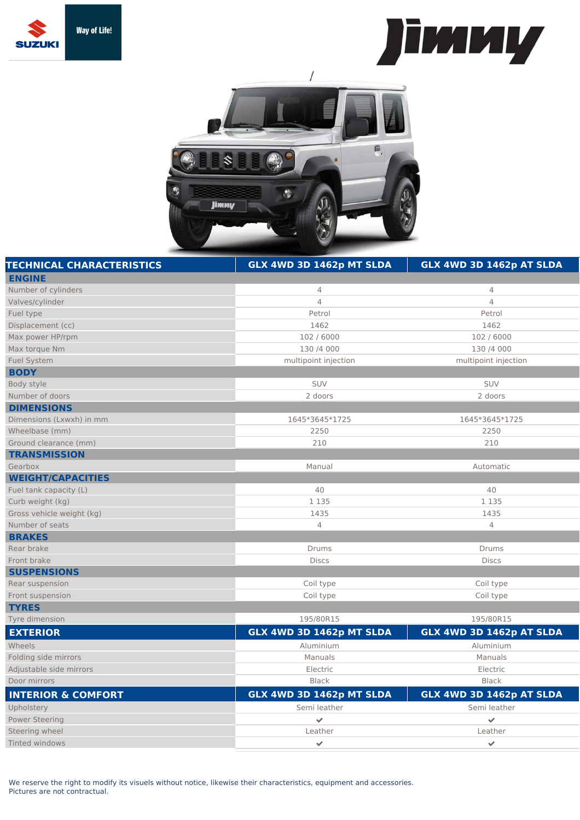





| <b>TECHNICAL CHARACTERISTICS</b> | GLX 4WD 3D 1462p MT SLDA | GLX 4WD 3D 1462p AT SLDA |
|----------------------------------|--------------------------|--------------------------|
| <b>ENGINE</b>                    |                          |                          |
| Number of cylinders              | $\overline{4}$           | 4                        |
| Valves/cylinder                  | $\overline{4}$           | $\overline{4}$           |
| Fuel type                        | Petrol                   | Petrol                   |
| Displacement (cc)                | 1462                     | 1462                     |
| Max power HP/rpm                 | 102 / 6000               | 102 / 6000               |
| Max torque Nm                    | 130 /4 000               | 130 /4 000               |
| <b>Fuel System</b>               | multipoint injection     | multipoint injection     |
| <b>BODY</b>                      |                          |                          |
| Body style                       | SUV                      | SUV                      |
| Number of doors                  | 2 doors                  | 2 doors                  |
| <b>DIMENSIONS</b>                |                          |                          |
| Dimensions (Lxwxh) in mm         | 1645*3645*1725           | 1645*3645*1725           |
| Wheelbase (mm)                   | 2250                     | 2250                     |
| Ground clearance (mm)            | 210                      | 210                      |
| <b>TRANSMISSION</b>              |                          |                          |
| Gearbox                          | Manual                   | Automatic                |
| <b>WEIGHT/CAPACITIES</b>         |                          |                          |
| Fuel tank capacity (L)           | 40                       | 40                       |
| Curb weight (kg)                 | 1 1 3 5                  | 1 1 3 5                  |
| Gross vehicle weight (kg)        | 1435                     | 1435                     |
| Number of seats                  | $\overline{4}$           | $\overline{4}$           |
| <b>BRAKES</b>                    |                          |                          |
| Rear brake                       | Drums                    | Drums                    |
| Front brake                      | <b>Discs</b>             | <b>Discs</b>             |
| <b>SUSPENSIONS</b>               |                          |                          |
| Rear suspension                  | Coil type                | Coil type                |
| Front suspension                 | Coil type                | Coil type                |
| <b>TYRES</b>                     |                          |                          |
| Tyre dimension                   | 195/80R15                | 195/80R15                |
| <b>EXTERIOR</b>                  | GLX 4WD 3D 1462p MT SLDA | GLX 4WD 3D 1462p AT SLDA |
| Wheels                           | Aluminium                | Aluminium                |
| Folding side mirrors             | Manuals                  | Manuals                  |
| Adjustable side mirrors          | Electric                 | Electric                 |
| Door mirrors                     | <b>Black</b>             | <b>Black</b>             |
| <b>INTERIOR &amp; COMFORT</b>    | GLX 4WD 3D 1462p MT SLDA | GLX 4WD 3D 1462p AT SLDA |
| Upholstery                       | Semi leather             | Semi leather             |
| <b>Power Steering</b>            | $\checkmark$             | $\checkmark$             |
| Steering wheel                   | Leather                  | Leather                  |
| Tinted windows                   | $\checkmark$             | $\checkmark$             |
|                                  |                          |                          |